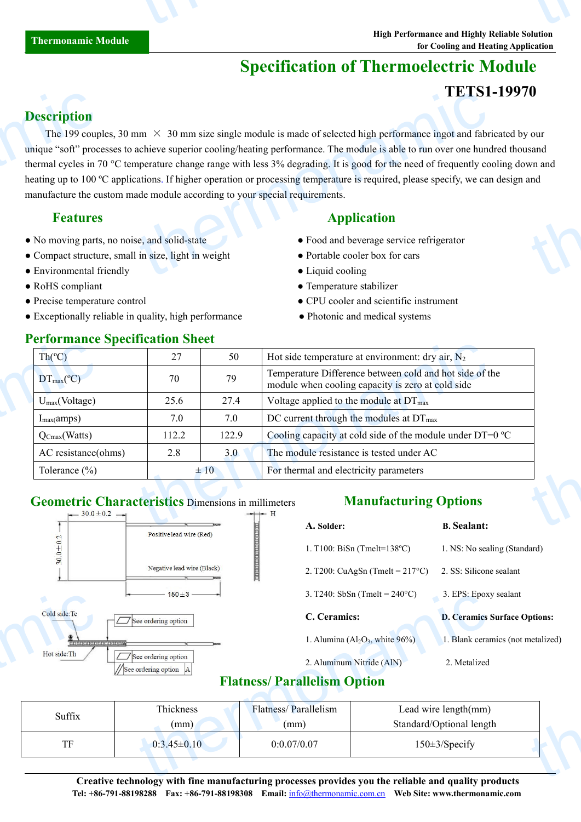# **Specification of Thermoelectric Module**

## **TETS1-19970**

### **Description**

The 199 couples, 30 mm  $\times$  30 mm size single module is made of selected high performance ingot and fabricated by our unique "soft" processes to achieve superior cooling/heating performance. The module is able to run over one hundred thousand thermal cycles in 70 °C temperature change range with less 3% degrading. It is good for the need of frequently cooling down and heating up to 100 °C applications. If higher operation or processing temperature is required, please specify, we can design and manufacture the custom made module according to yourspecial requirements. **Description**<br>The 199 coup<br>unique "soft" proc<br>thermal cycles in 7<br>heating up to 100 c<br>manufacture the cu<br>**Features**<br>No moving parts<br>Compact structu<br>Compact structu<br>Environmental f  $\text{L}$  LDI<br>  $\times$  30 mm size single module is made of selected high performance ingot and fabria<br>
achieve superior cooling/heating performance. The module is able to run over one hund<br>
apperature change range with less 3% to the control of the control of the control of the control of the control of the control of the control of the control of the control of the control of the control of the control of the control of the control of the contr

- No moving parts, no noise, and solid-state Food and beverage service refrigerator
- Compact structure, small in size, light in weight Portable cooler box for cars
- Environmental friendly <br>• Liquid cooling
- 
- 
- Exceptionally reliable in quality, high performance Photonic and medical systems

### **Performance Specification Sheet**

### **Features Application**

- 
- 
- 
- RoHS compliant <br>• Temperature stabilizer
- Precise temperature control CPU cooler and scientific instrument
	-

| $Th(^{\circ}C)$                 | 27    | 50       | Hot side temperature at environment: dry air, $N_2$                                                          |
|---------------------------------|-------|----------|--------------------------------------------------------------------------------------------------------------|
| $DT_{\text{max}}(^{\circ}C)$    | 70    | 79       | Temperature Difference between cold and hot side of the<br>module when cooling capacity is zero at cold side |
| $U_{\text{max}}$ (Voltage)      | 25.6  | 27.4     | Voltage applied to the module at DT <sub>max</sub>                                                           |
| $I_{max}(amps)$                 | 7.0   | 7.0      | DC current through the modules at $DT_{\text{max}}$                                                          |
| $Q_{\text{Cmax}}(\text{Watts})$ | 112.2 | 122.9    | Cooling capacity at cold side of the module under DT=0 °C                                                    |
| AC resistance(ohms)             | 2.8   | 3.0      | The module resistance is tested under AC                                                                     |
| Tolerance $(\% )$               |       | $\pm 10$ | For thermal and electricity parameters                                                                       |

# **Geometric Characteristics** Dimensions in millimeters



## **Manufacturing Options**

| A. Solder:            |                                           | <b>B.</b> Sealant:                  |
|-----------------------|-------------------------------------------|-------------------------------------|
|                       | 1. T100: BiSn (Tmelt= $138^{\circ}$ C)    | 1. NS: No sealing (Standard)        |
|                       | 2. T200: CuAgSn (Tmelt = $217^{\circ}$ C) | 2. SS: Silicone sealant             |
|                       | 3. T240: SbSn (Tmelt = $240^{\circ}$ C)   | 3. EPS: Epoxy sealant               |
| C. Ceramics:          |                                           | <b>D. Ceramics Surface Options:</b> |
|                       | 1. Alumina ( $Al_2O_3$ , white $96\%$ )   | 1. Blank ceramics (not metalized)   |
|                       | 2. Aluminum Nitride (AlN)                 | 2. Metalized                        |
| <b>Ilelism Option</b> |                                           |                                     |
| rallelism             |                                           | Lead wire length(mm)                |
|                       |                                           | Standard/Optional length            |
| 0.07                  |                                           | $150 \pm 3$ /Specify                |

## **Flatness/ Parallelism Option**

|                                        | $\leftarrow$ 150+3 $\leftarrow$                                                                                                        |                                    | 3. 1240: SbSn (Tmelt = $240^{\circ}$ C)                                  |                                     | 3. EPS: Epoxy sealant |  |
|----------------------------------------|----------------------------------------------------------------------------------------------------------------------------------------|------------------------------------|--------------------------------------------------------------------------|-------------------------------------|-----------------------|--|
| Cold side: Tc                          | See ordering option                                                                                                                    | C. Ceramics:                       |                                                                          | <b>D. Ceramics Surface Options:</b> |                       |  |
| <b>Majalajain(alajalajain(alajala)</b> |                                                                                                                                        |                                    | 1. Alumina $(A2O3$ , white $96\%$ )<br>1. Blank ceramics (not metalized) |                                     |                       |  |
| Hot side:Th                            | See ordering option<br>//See ordering option  A                                                                                        | 2. Aluminum Nitride (AlN)          |                                                                          | 2. Metalized                        |                       |  |
|                                        |                                                                                                                                        | <b>Flatness/Parallelism Option</b> |                                                                          |                                     |                       |  |
| Suffix                                 | Thickness                                                                                                                              | Flatness/Parallelism               | Lead wire length(mm)                                                     |                                     |                       |  |
|                                        | (mm)                                                                                                                                   | (mm)                               | Standard/Optional length                                                 |                                     |                       |  |
| TF                                     | $0:3.45\pm0.10$                                                                                                                        | 0:0.07/0.07                        | $150 \pm 3$ /Specify                                                     |                                     |                       |  |
|                                        |                                                                                                                                        |                                    |                                                                          |                                     |                       |  |
|                                        | $\alpha$ and a set of the set of $\alpha$ and $\alpha$ and $\alpha$ is a set of $\alpha$ in the set of $\alpha$ in the set of $\alpha$ |                                    |                                                                          |                                     |                       |  |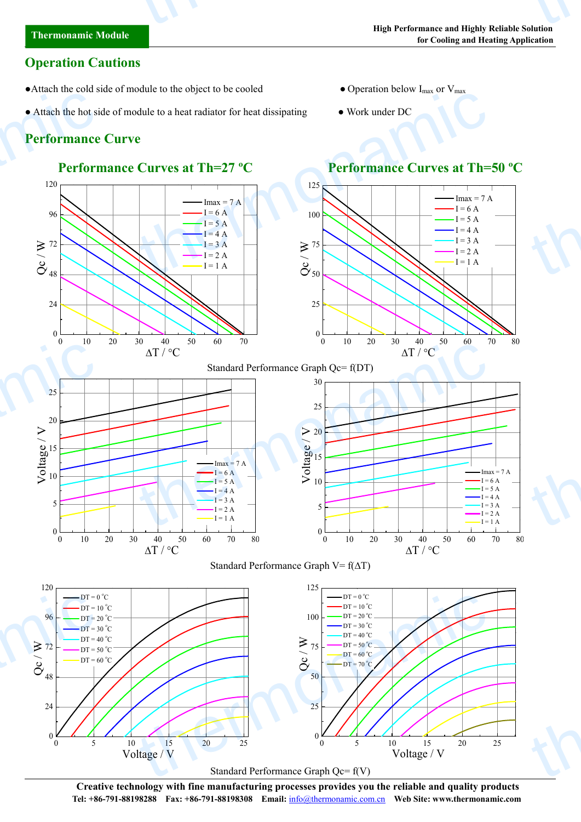## **Operation Cautions**

- Attach the cold side of module to the object to be cooled Operation below  $I_{\text{max}}$  or  $V_{\text{max}}$
- Attach the hot side of module to a heat radiator for heat dissipating Work under DC

# **Performance Curve**

120

25

24

120

 $96 \div \text{DT} = 20 \text{ °C}$ 

 $DT = 0 °C$  $DT = 10 °C$ 

 $DT = 30 °C$ 





0 10 20 30 40 50 60 70 80

0 10 20 30 40 50 60 70 80

 $\Delta T / {}^{\circ}C$ 

 $Imax = 7 A$  $-I = 6 A$  $-I = 5 A$  $-I = 4 A$  $-I = 3 A$  $-I = 2 A$  $I = 1 \Delta$ 

thermonamic

 $\Delta T / {}^{\circ}C$ 











125

 $\blacktriangleright$ 



 $0$   $\longrightarrow$   $\longrightarrow$   $\longrightarrow$ 

 $0 \longrightarrow$ 

 $100 - D$ T = 20 °C

 $DT = 0 °C$  $DT = 10^{\circ}C$  $DT = 30 °C$  $DT = 40 °C$ 

 $5$   $\leftarrow$ 

 $10$ 

15

 $\begin{array}{c}\n\stackrel{\text{gen}}{=}\n\hline\n\stackrel{\text{gen}}{=}\n\hline\n\end{array}$ 

 $\geq$  20

25